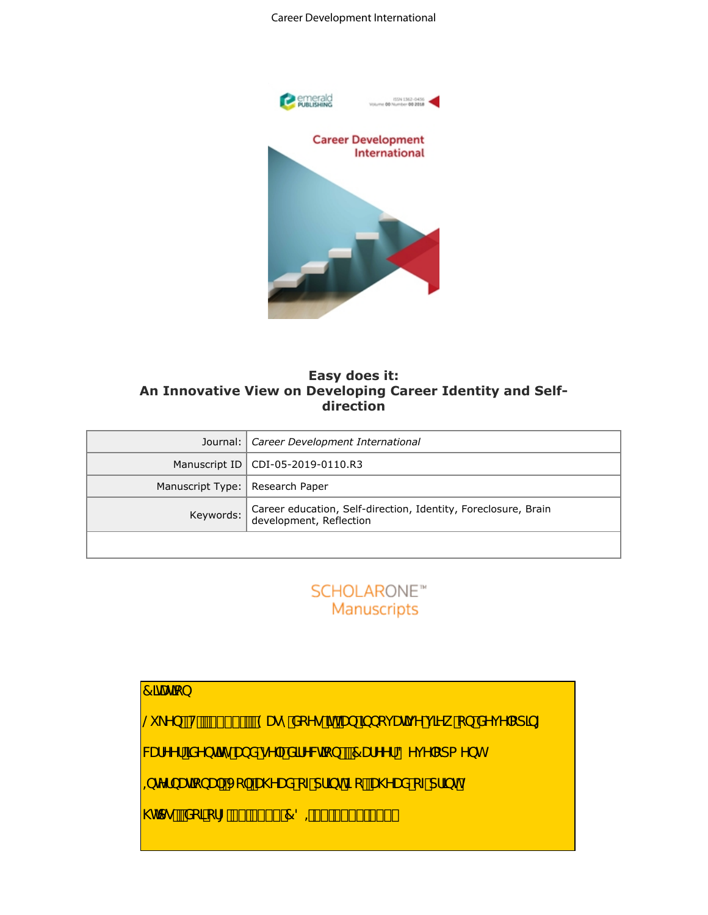#### Career Development International



# **Easy does it: An Innovative View on Developing Career Identity and Selfdirection**

|                         | <b>Career Development</b><br><b>International</b><br>Easy does it:<br>An Innovative View on Developing Career Identity and Self-<br>direction |
|-------------------------|-----------------------------------------------------------------------------------------------------------------------------------------------|
| Journal:                | Career Development International                                                                                                              |
| Manuscript ID           | CDI-05-2019-0110.R3                                                                                                                           |
| Manuscript Type:        | Research Paper                                                                                                                                |
| Keywords:               | Career education, Self-direction, Identity, Foreclosure, Brain<br>development, Reflection                                                     |
|                         | SCHOLARONE <sup>®</sup>                                                                                                                       |
|                         | Manuscripts                                                                                                                                   |
| $\hat{\text{O}}$ azea } | Š`\^} BUBCGETJDBAO & ^ Al[^ Morto Alj } [çæãq^^\$a , Á } Al^ç^ [ ] 3 *<br>8at^^¦Áãn}cãô Ánt}åÁn^  -Ëåãn 8aã¦}ÄÉÁÔat^^¦ÁÖn ç^ []{ ^} c         |

 $\hat{\text{O}}$ azea } S \^} BUBCEFJDBAO e Al ^ Abraha Al } [caea ^ A a A } A ^ c^ | 1 a \* 8ed^^¦ÁBu^}cãc Ábol åÁ^| Eäã^8cã}ÄÉKÔæd^^¦ÁÖ^ç^|[]{^}c ,QWHUQDWLRQDO9RODKHDGRISULQW1RDKHDGRISULQW **@c]•KEMA[ at |\* HFELEFFE BOÖGEE EGEFJEEFFE**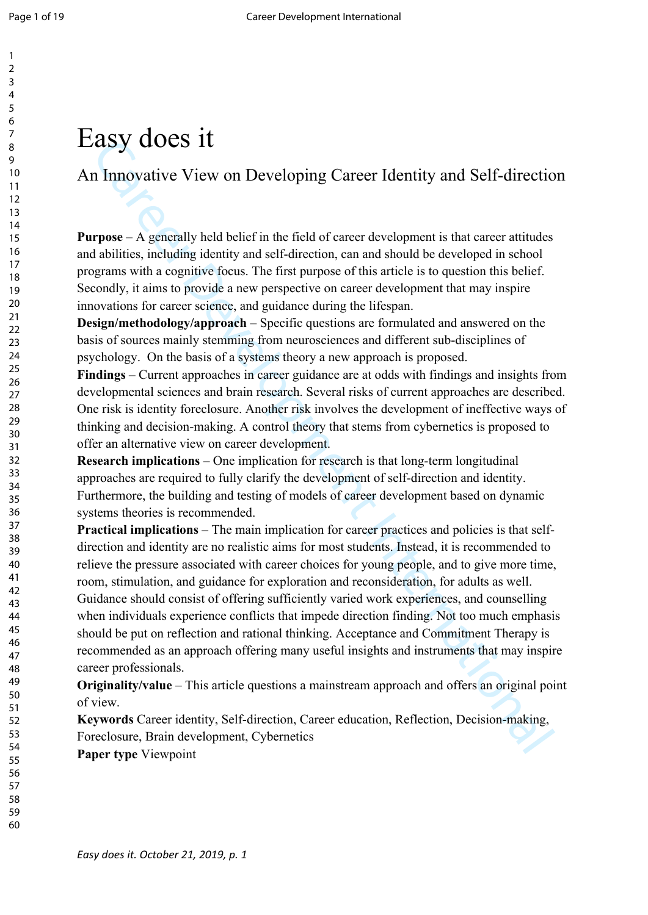# Easy does it

An Innovative View on Developing Career Identity and Self-direction

**Purpose** – A generally held belief in the field of career development is that career attitudes and abilities, including identity and self-direction, can and should be developed in school programs with a cognitive focus. The first purpose of this article is to question this belief. Secondly, it aims to provide a new perspective on career development that may inspire innovations for career science, and guidance during the lifespan.

**Design/methodology/approach** – Specific questions are formulated and answered on the basis of sources mainly stemming from neurosciences and different sub-disciplines of psychology. On the basis of a systems theory a new approach is proposed.

**Findings** – Current approaches in career guidance are at odds with findings and insights from developmental sciences and brain research. Several risks of current approaches are described. One risk is identity foreclosure. Another risk involves the development of ineffective ways of thinking and decision-making. A control theory that stems from cybernetics is proposed to offer an alternative view on career development.

**Research implications** – One implication for research is that long-term longitudinal approaches are required to fully clarify the development of self-direction and identity. Furthermore, the building and testing of models of career development based on dynamic systems theories is recommended.

EXELY CHOCES TIT<br>
In Innovative View on Developing Career Identity and Self-direction<br>
rpose – A generally held belief in the field of career development is that career attitudes<br>
throws. The district in the field of care **Practical implications** – The main implication for career practices and policies is that selfdirection and identity are no realistic aims for most students. Instead, it is recommended to relieve the pressure associated with career choices for young people, and to give more time, room, stimulation, and guidance for exploration and reconsideration, for adults as well. Guidance should consist of offering sufficiently varied work experiences, and counselling when individuals experience conflicts that impede direction finding. Not too much emphasis should be put on reflection and rational thinking. Acceptance and Commitment Therapy is recommended as an approach offering many useful insights and instruments that may inspire career professionals.

**Originality/value** – This article questions a mainstream approach and offers an original point of view.

**Keywords** Career identity, Self-direction, Career education, Reflection, Decision-making, Foreclosure, Brain development, Cybernetics **Paper type** Viewpoint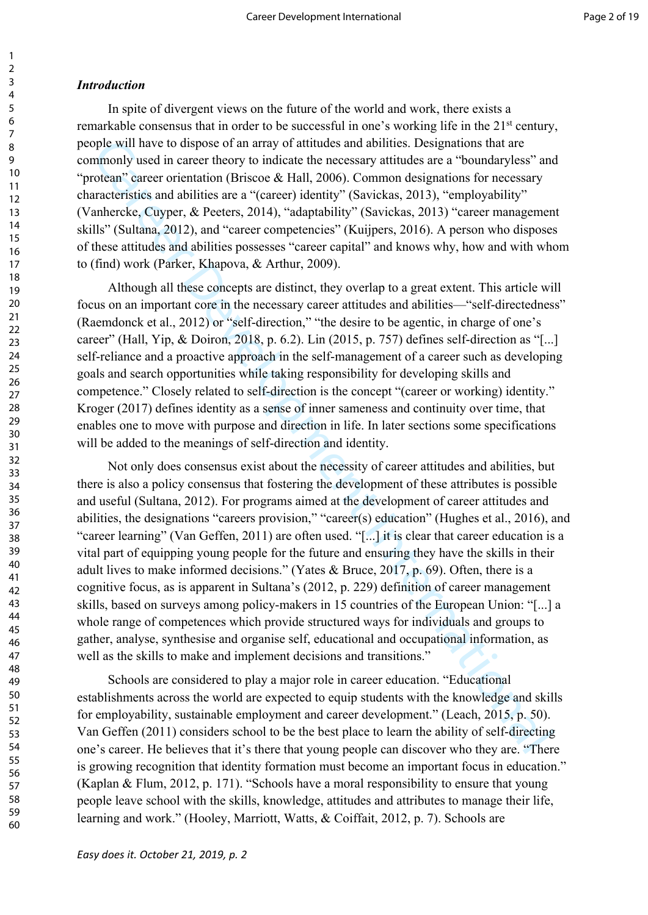#### *Introduction*

In spite of divergent views on the future of the world and work, there exists a remarkable consensus that in order to be successful in one's working life in the 21st century, people will have to dispose of an array of attitudes and abilities. Designations that are commonly used in career theory to indicate the necessary attitudes are a "boundaryless" and "protean" career orientation (Briscoe & Hall, 2006). Common designations for necessary characteristics and abilities are a "(career) identity" (Savickas, 2013), "employability" (Vanhercke, Cuyper, & Peeters, 2014), "adaptability" (Savickas, 2013) "career management skills" (Sultana, 2012), and "career competencies" (Kuijpers, 2016). A person who disposes of these attitudes and abilities possesses "career capital" and knows why, how and with whom to (find) work (Parker, Khapova, & Arthur, 2009).

Although all these concepts are distinct, they overlap to a great extent. This article will focus on an important core in the necessary career attitudes and abilities—"self-directedness" (Raemdonck et al., 2012) or "self-direction," "the desire to be agentic, in charge of one's career" (Hall, Yip, & Doiron, 2018, p. 6.2). Lin (2015, p. 757) defines self-direction as "[...] self-reliance and a proactive approach in the self-management of a career such as developing goals and search opportunities while taking responsibility for developing skills and competence." Closely related to self-direction is the concept "(career or working) identity." Kroger (2017) defines identity as a sense of inner sameness and continuity over time, that enables one to move with purpose and direction in life. In later sections some specifications will be added to the meanings of self-direction and identity.

by will have to dispose of an army of artitudes and abilities. Designations that are<br>propositively and increasing the necessary attitudes are a "boundaryless" are<br>ordan" career orientation (Brissoe & Hall, 2006). Common d Not only does consensus exist about the necessity of career attitudes and abilities, but there is also a policy consensus that fostering the development of these attributes is possible and useful (Sultana, 2012). For programs aimed at the development of career attitudes and abilities, the designations "careers provision," "career(s) education" (Hughes et al., 2016), and "career learning" (Van Geffen, 2011) are often used. "[...] it is clear that career education is a vital part of equipping young people for the future and ensuring they have the skills in their adult lives to make informed decisions." (Yates & Bruce, 2017, p. 69). Often, there is a cognitive focus, as is apparent in Sultana's (2012, p. 229) definition of career management skills, based on surveys among policy-makers in 15 countries of the European Union: "[...] a whole range of competences which provide structured ways for individuals and groups to gather, analyse, synthesise and organise self, educational and occupational information, as well as the skills to make and implement decisions and transitions."

Schools are considered to play a major role in career education. "Educational establishments across the world are expected to equip students with the knowledge and skills for employability, sustainable employment and career development." (Leach, 2015, p. 50). Van Geffen (2011) considers school to be the best place to learn the ability of self-directing one's career. He believes that it's there that young people can discover who they are. "There is growing recognition that identity formation must become an important focus in education." (Kaplan & Flum, 2012, p. 171). "Schools have a moral responsibility to ensure that young people leave school with the skills, knowledge, attitudes and attributes to manage their life, learning and work." (Hooley, Marriott, Watts, & Coiffait, 2012, p. 7). Schools are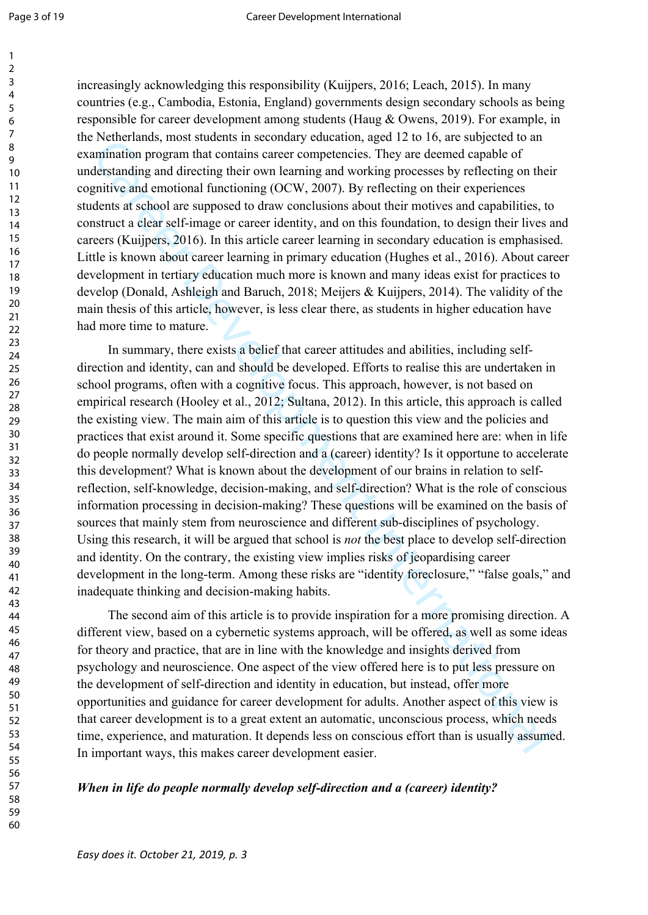increasingly acknowledging this responsibility (Kuijpers, 2016; Leach, 2015). In many countries (e.g., Cambodia, Estonia, England) governments design secondary schools as being responsible for career development among students (Haug & Owens, 2019). For example, in the Netherlands, most students in secondary education, aged 12 to 16, are subjected to an examination program that contains career competencies. They are deemed capable of understanding and directing their own learning and working processes by reflecting on their cognitive and emotional functioning (OCW, 2007). By reflecting on their experiences students at school are supposed to draw conclusions about their motives and capabilities, to construct a clear self-image or career identity, and on this foundation, to design their lives and careers (Kuijpers, 2016). In this article career learning in secondary education is emphasised. Little is known about career learning in primary education (Hughes et al., 2016). About career development in tertiary education much more is known and many ideas exist for practices to develop (Donald, Ashleigh and Baruch, 2018; Meijers & Kuijpers, 2014). The validity of the main thesis of this article, however, is less clear there, as students in higher education have had more time to mature.

returnants, then statemals in sectomals of the are the formation progres and inference and consider and internation program that contains care er competences. They are desemd capitable of derivation and directing their va In summary, there exists a belief that career attitudes and abilities, including selfdirection and identity, can and should be developed. Efforts to realise this are undertaken in school programs, often with a cognitive focus. This approach, however, is not based on empirical research (Hooley et al., 2012; Sultana, 2012). In this article, this approach is called the existing view. The main aim of this article is to question this view and the policies and practices that exist around it. Some specific questions that are examined here are: when in life do people normally develop self-direction and a (career) identity? Is it opportune to accelerate this development? What is known about the development of our brains in relation to selfreflection, self-knowledge, decision-making, and self-direction? What is the role of conscious information processing in decision-making? These questions will be examined on the basis of sources that mainly stem from neuroscience and different sub-disciplines of psychology. Using this research, it will be argued that school is *not* the best place to develop self-direction and identity. On the contrary, the existing view implies risks of jeopardising career development in the long-term. Among these risks are "identity foreclosure," "false goals," and inadequate thinking and decision-making habits.

The second aim of this article is to provide inspiration for a more promising direction. A different view, based on a cybernetic systems approach, will be offered, as well as some ideas for theory and practice, that are in line with the knowledge and insights derived from psychology and neuroscience. One aspect of the view offered here is to put less pressure on the development of self-direction and identity in education, but instead, offer more opportunities and guidance for career development for adults. Another aspect of this view is that career development is to a great extent an automatic, unconscious process, which needs time, experience, and maturation. It depends less on conscious effort than is usually assumed. In important ways, this makes career development easier.

#### *When in life do people normally develop self-direction and a (career) identity?*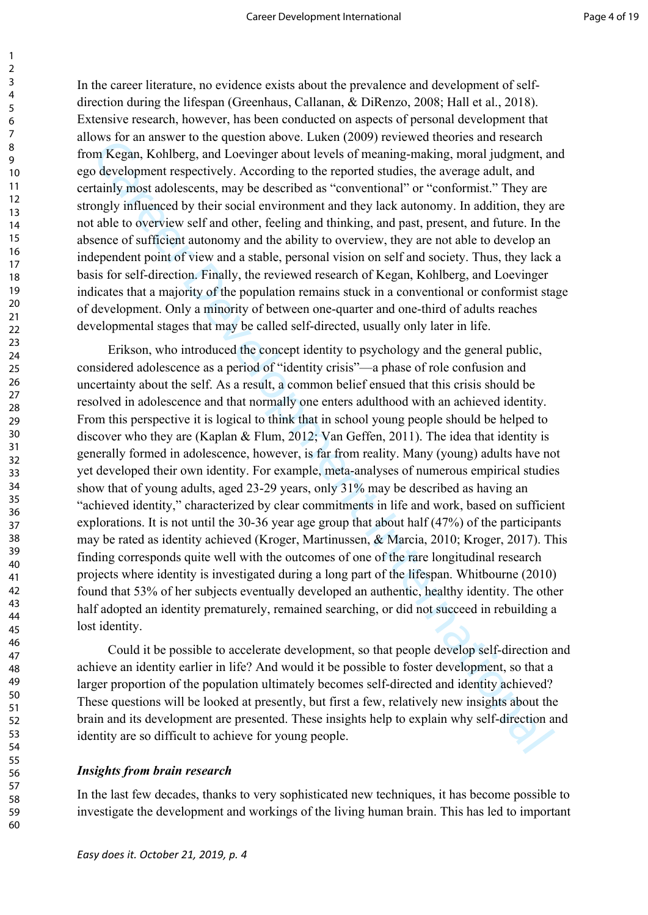In the career literature, no evidence exists about the prevalence and development of selfdirection during the lifespan (Greenhaus, Callanan, & DiRenzo, 2008; Hall et al., 2018). Extensive research, however, has been conducted on aspects of personal development that allows for an answer to the question above. Luken (2009) reviewed theories and research from Kegan, Kohlberg, and Loevinger about levels of meaning-making, moral judgment, and ego development respectively. According to the reported studies, the average adult, and certainly most adolescents, may be described as "conventional" or "conformist." They are strongly influenced by their social environment and they lack autonomy. In addition, they are not able to overview self and other, feeling and thinking, and past, present, and future. In the absence of sufficient autonomy and the ability to overview, they are not able to develop an independent point of view and a stable, personal vision on self and society. Thus, they lack a basis for self-direction. Finally, the reviewed research of Kegan, Kohlberg, and Loevinger indicates that a majority of the population remains stuck in a conventional or conformist stage of development. Only a minority of between one-quarter and one-third of adults reaches developmental stages that may be called self-directed, usually only later in life.

www. and answer to the questant anove : Leacher (2007) reviewe uncores and research and the pholoneter and internation and internation and internation and internation and internation and internation and internation and in Erikson, who introduced the concept identity to psychology and the general public, considered adolescence as a period of "identity crisis"—a phase of role confusion and uncertainty about the self. As a result, a common belief ensued that this crisis should be resolved in adolescence and that normally one enters adulthood with an achieved identity. From this perspective it is logical to think that in school young people should be helped to discover who they are (Kaplan & Flum, 2012; Van Geffen, 2011). The idea that identity is generally formed in adolescence, however, is far from reality. Many (young) adults have not yet developed their own identity. For example, meta-analyses of numerous empirical studies show that of young adults, aged 23-29 years, only 31% may be described as having an "achieved identity," characterized by clear commitments in life and work, based on sufficient explorations. It is not until the 30-36 year age group that about half (47%) of the participants may be rated as identity achieved (Kroger, Martinussen, & Marcia, 2010; Kroger, 2017). This finding corresponds quite well with the outcomes of one of the rare longitudinal research projects where identity is investigated during a long part of the lifespan. Whitbourne (2010) found that 53% of her subjects eventually developed an authentic, healthy identity. The other half adopted an identity prematurely, remained searching, or did not succeed in rebuilding a lost identity.

Could it be possible to accelerate development, so that people develop self-direction and achieve an identity earlier in life? And would it be possible to foster development, so that a larger proportion of the population ultimately becomes self-directed and identity achieved? These questions will be looked at presently, but first a few, relatively new insights about the brain and its development are presented. These insights help to explain why self-direction and identity are so difficult to achieve for young people.

#### *Insights from brain research*

In the last few decades, thanks to very sophisticated new techniques, it has become possible to investigate the development and workings of the living human brain. This has led to important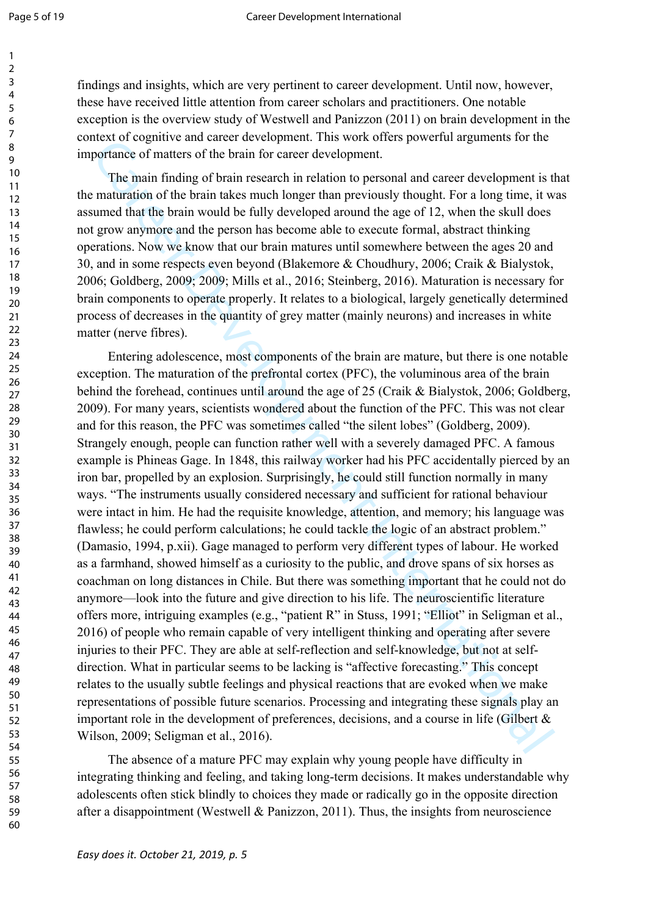findings and insights, which are very pertinent to career development. Until now, however, these have received little attention from career scholars and practitioners. One notable exception is the overview study of Westwell and Panizzon (2011) on brain development in the context of cognitive and career development. This work offers powerful arguments for the importance of matters of the brain for career development.

The main finding of brain research in relation to personal and career development is that the maturation of the brain takes much longer than previously thought. For a long time, it was assumed that the brain would be fully developed around the age of 12, when the skull does not grow anymore and the person has become able to execute formal, abstract thinking operations. Now we know that our brain matures until somewhere between the ages 20 and 30, and in some respects even beyond (Blakemore & Choudhury, 2006; Craik & Bialystok, 2006; Goldberg, 2009; 2009; Mills et al., 2016; Steinberg, 2016). Maturation is necessary for brain components to operate properly. It relates to a biological, largely genetically determined process of decreases in the quantity of grey matter (mainly neurons) and increases in white matter (nerve fibres).

metric continuous and variety and with the metric and the metric of the binal that with the main finding of brain research in relation to personal and career development is the main finding of brain takes much interdation Entering adolescence, most components of the brain are mature, but there is one notable exception. The maturation of the prefrontal cortex (PFC), the voluminous area of the brain behind the forehead, continues until around the age of 25 (Craik & Bialystok, 2006; Goldberg, 2009). For many years, scientists wondered about the function of the PFC. This was not clear and for this reason, the PFC was sometimes called "the silent lobes" (Goldberg, 2009). Strangely enough, people can function rather well with a severely damaged PFC. A famous example is Phineas Gage. In 1848, this railway worker had his PFC accidentally pierced by an iron bar, propelled by an explosion. Surprisingly, he could still function normally in many ways. "The instruments usually considered necessary and sufficient for rational behaviour were intact in him. He had the requisite knowledge, attention, and memory; his language was flawless; he could perform calculations; he could tackle the logic of an abstract problem." (Damasio, 1994, p.xii). Gage managed to perform very different types of labour. He worked as a farmhand, showed himself as a curiosity to the public, and drove spans of six horses as coachman on long distances in Chile. But there was something important that he could not do anymore—look into the future and give direction to his life. The neuroscientific literature offers more, intriguing examples (e.g., "patient R" in Stuss, 1991; "Elliot" in Seligman et al., 2016) of people who remain capable of very intelligent thinking and operating after severe injuries to their PFC. They are able at self-reflection and self-knowledge, but not at selfdirection. What in particular seems to be lacking is "affective forecasting." This concept relates to the usually subtle feelings and physical reactions that are evoked when we make representations of possible future scenarios. Processing and integrating these signals play an important role in the development of preferences, decisions, and a course in life (Gilbert & Wilson, 2009; Seligman et al., 2016).

The absence of a mature PFC may explain why young people have difficulty in integrating thinking and feeling, and taking long-term decisions. It makes understandable why adolescents often stick blindly to choices they made or radically go in the opposite direction after a disappointment (Westwell & Panizzon, 2011). Thus, the insights from neuroscience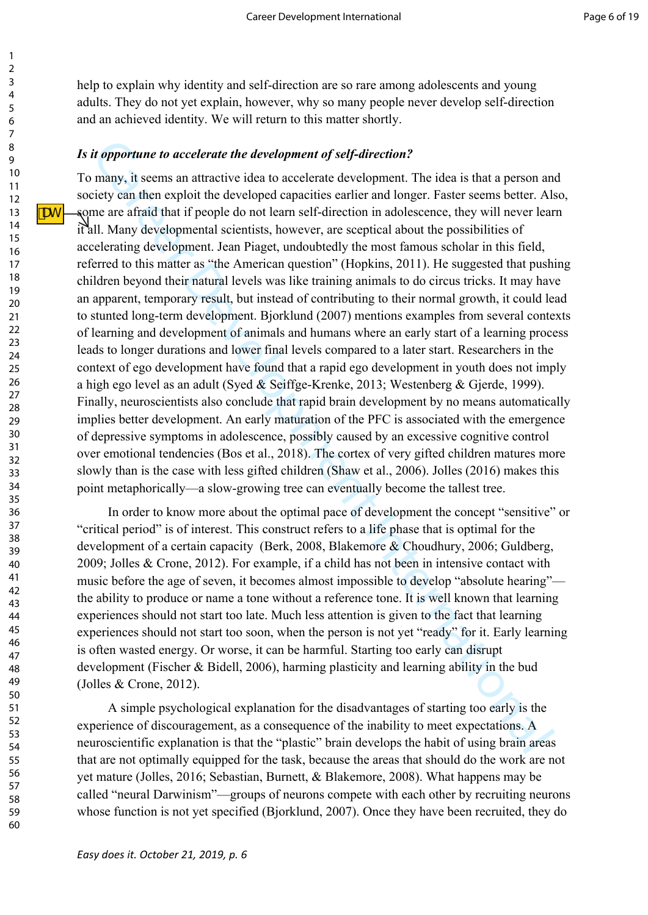help to explain why identity and self-direction are so rare among adolescents and young adults. They do not yet explain, however, why so many people never develop self-direction and an achieved identity. We will return to this matter shortly.

#### *Is it opportune to accelerate the development of self-direction?*

*d* opportune to accelerate the development of self-direction?<br>
many, it seems an attractive idea to accelerate development. The idea is that a person an<br>
many, it seems an attractive idea to accelerate development. The i To many, it seems an attractive idea to accelerate development. The idea is that a person and society can then exploit the developed capacities earlier and longer. Faster seems better. Also, some are afraid that if people do not learn self-direction in adolescence, they will never learn it all. Many developmental scientists, however, are sceptical about the possibilities of accelerating development. Jean Piaget, undoubtedly the most famous scholar in this field, referred to this matter as "the American question" (Hopkins, 2011). He suggested that pushing children beyond their natural levels was like training animals to do circus tricks. It may have an apparent, temporary result, but instead of contributing to their normal growth, it could lead to stunted long-term development. Bjorklund (2007) mentions examples from several contexts of learning and development of animals and humans where an early start of a learning process leads to longer durations and lower final levels compared to a later start. Researchers in the context of ego development have found that a rapid ego development in youth does not imply a high ego level as an adult (Syed & Seiffge-Krenke, 2013; Westenberg & Gjerde, 1999). Finally, neuroscientists also conclude that rapid brain development by no means automatically implies better development. An early maturation of the PFC is associated with the emergence of depressive symptoms in adolescence, possibly caused by an excessive cognitive control over emotional tendencies (Bos et al., 2018). The cortex of very gifted children matures more slowly than is the case with less gifted children (Shaw et al., 2006). Jolles (2016) makes this point metaphorically—a slow-growing tree can eventually become the tallest tree.

In order to know more about the optimal pace of development the concept "sensitive" or "critical period" is of interest. This construct refers to a life phase that is optimal for the development of a certain capacity (Berk, 2008, Blakemore & Choudhury, 2006; Guldberg, 2009; Jolles & Crone, 2012). For example, if a child has not been in intensive contact with music before the age of seven, it becomes almost impossible to develop "absolute hearing" the ability to produce or name a tone without a reference tone. It is well known that learning experiences should not start too late. Much less attention is given to the fact that learning experiences should not start too soon, when the person is not yet "ready" for it. Early learning is often wasted energy. Or worse, it can be harmful. Starting too early can disrupt development (Fischer & Bidell, 2006), harming plasticity and learning ability in the bud (Jolles & Crone, 2012).

A simple psychological explanation for the disadvantages of starting too early is the experience of discouragement, as a consequence of the inability to meet expectations. A neuroscientific explanation is that the "plastic" brain develops the habit of using brain areas that are not optimally equipped for the task, because the areas that should do the work are not yet mature (Jolles, 2016; Sebastian, Burnett, & Blakemore, 2008). What happens may be called "neural Darwinism"—groups of neurons compete with each other by recruiting neurons whose function is not yet specified (Bjorklund, 2007). Once they have been recruited, they do

1 2

ASSE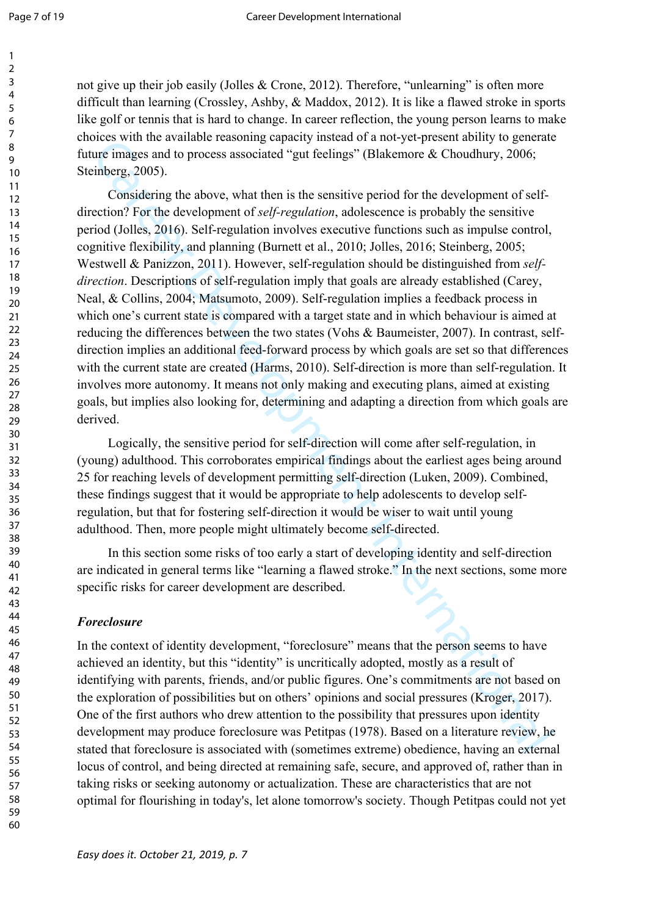not give up their job easily (Jolles & Crone, 2012). Therefore, "unlearning" is often more difficult than learning (Crossley, Ashby, & Maddox, 2012). It is like a flawed stroke in sports like golf or tennis that is hard to change. In career reflection, the young person learns to make choices with the available reasoning capacity instead of a not-yet-present ability to generate future images and to process associated "gut feelings" (Blakemore & Choudhury, 2006; Steinberg, 2005).

See with a care wannot becoming capacity mestacle of a non-yelpresche annual of the person of a step-<br>intermation process associated "gut feelings" (Blakemore & Choudhury, 2006;<br>timberg, 2005).<br>The magnetic process associ Considering the above, what then is the sensitive period for the development of selfdirection? For the development of *self-regulation*, adolescence is probably the sensitive period (Jolles, 2016). Self-regulation involves executive functions such as impulse control, cognitive flexibility, and planning (Burnett et al., 2010; Jolles, 2016; Steinberg, 2005; Westwell & Panizzon, 2011). However, self-regulation should be distinguished from *selfdirection*. Descriptions of self-regulation imply that goals are already established (Carey, Neal, & Collins, 2004; Matsumoto, 2009). Self-regulation implies a feedback process in which one's current state is compared with a target state and in which behaviour is aimed at reducing the differences between the two states (Vohs & Baumeister, 2007). In contrast, selfdirection implies an additional feed-forward process by which goals are set so that differences with the current state are created (Harms, 2010). Self-direction is more than self-regulation. It involves more autonomy. It means not only making and executing plans, aimed at existing goals, but implies also looking for, determining and adapting a direction from which goals are derived.

Logically, the sensitive period for self-direction will come after self-regulation, in (young) adulthood. This corroborates empirical findings about the earliest ages being around 25 for reaching levels of development permitting self-direction (Luken, 2009). Combined, these findings suggest that it would be appropriate to help adolescents to develop selfregulation, but that for fostering self-direction it would be wiser to wait until young adulthood. Then, more people might ultimately become self-directed.

In this section some risks of too early a start of developing identity and self-direction are indicated in general terms like "learning a flawed stroke." In the next sections, some more specific risks for career development are described.

# *Foreclosure*

In the context of identity development, "foreclosure" means that the person seems to have achieved an identity, but this "identity" is uncritically adopted, mostly as a result of identifying with parents, friends, and/or public figures. One's commitments are not based on the exploration of possibilities but on others' opinions and social pressures (Kroger, 2017). One of the first authors who drew attention to the possibility that pressures upon identity development may produce foreclosure was Petitpas (1978). Based on a literature review, he stated that foreclosure is associated with (sometimes extreme) obedience, having an external locus of control, and being directed at remaining safe, secure, and approved of, rather than in taking risks or seeking autonomy or actualization. These are characteristics that are not optimal for flourishing in today's, let alone tomorrow's society. Though Petitpas could not yet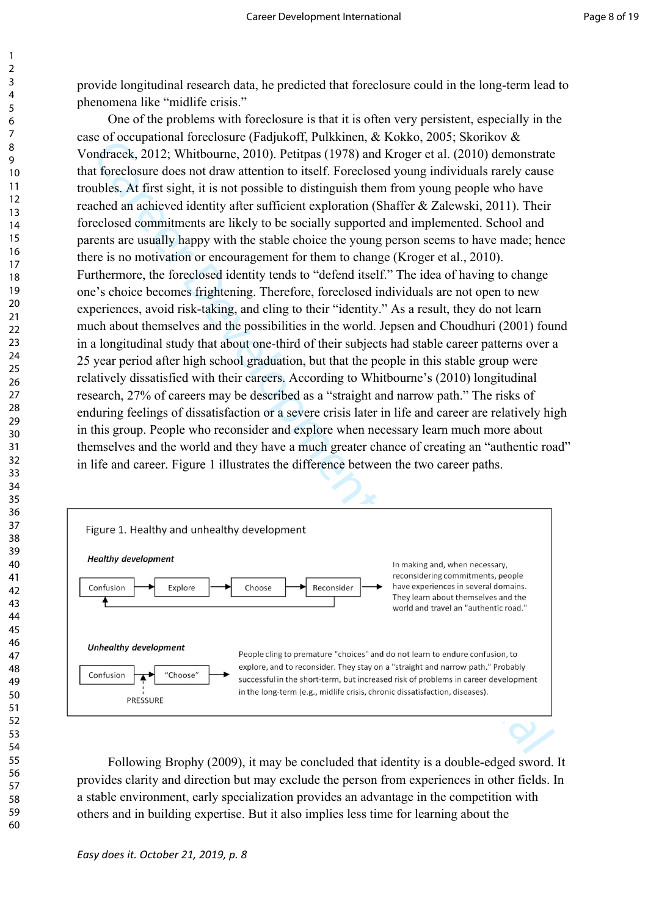provide longitudinal research data, he predicted that foreclosure could in the long-term lead to phenomena like "midlife crisis."

is the control of the matter as the state of the state of the state of the state of the state of the state of the state of the state of the state of the state of the state of the state of the state of the state of the sta One of the problems with foreclosure is that it is often very persistent, especially in the case of occupational foreclosure (Fadjukoff, Pulkkinen, & Kokko, 2005; Skorikov & Vondracek, 2012; Whitbourne, 2010). Petitpas (1978) and Kroger et al. (2010) demonstrate that foreclosure does not draw attention to itself. Foreclosed young individuals rarely cause troubles. At first sight, it is not possible to distinguish them from young people who have reached an achieved identity after sufficient exploration (Shaffer & Zalewski, 2011). Their foreclosed commitments are likely to be socially supported and implemented. School and parents are usually happy with the stable choice the young person seems to have made; hence there is no motivation or encouragement for them to change (Kroger et al., 2010). Furthermore, the foreclosed identity tends to "defend itself." The idea of having to change one's choice becomes frightening. Therefore, foreclosed individuals are not open to new experiences, avoid risk-taking, and cling to their "identity." As a result, they do not learn much about themselves and the possibilities in the world. Jepsen and Choudhuri (2001) found in a longitudinal study that about one-third of their subjects had stable career patterns over a 25 year period after high school graduation, but that the people in this stable group were relatively dissatisfied with their careers. According to Whitbourne's (2010) longitudinal research, 27% of careers may be described as a "straight and narrow path." The risks of enduring feelings of dissatisfaction or a severe crisis later in life and career are relatively high in this group. People who reconsider and explore when necessary learn much more about themselves and the world and they have a much greater chance of creating an "authentic road" in life and career. Figure 1 illustrates the difference between the two career paths.



Following Brophy (2009), it may be concluded that identity is a double-edged sword. It provides clarity and direction but may exclude the person from experiences in other fields. In a stable environment, early specialization provides an advantage in the competition with others and in building expertise. But it also implies less time for learning about the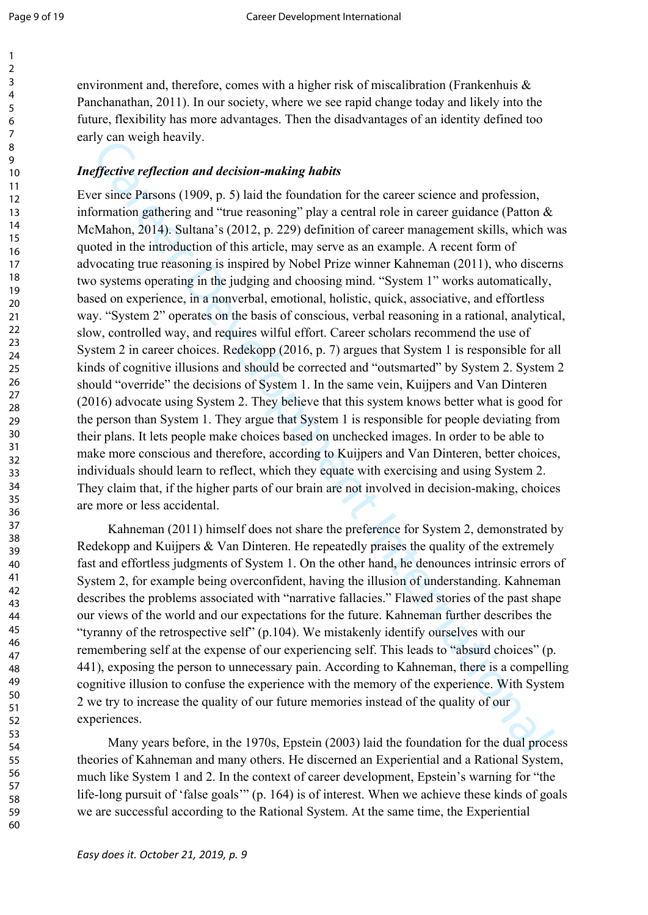environment and, therefore, comes with a higher risk of miscalibration (Frankenhuis & Panchanathan, 2011). In our society, where we see rapid change today and likely into the future, flexibility has more advantages. Then the disadvantages of an identity defined too early can weigh heavily.

# *Ineffective reflection and decision-making habits*

by can weigh nearny.<br>
Your weigh nearny.<br>
The singe paracelest and decision-making habits<br>
The singe paracelest and the formulation for the curver science and profession,<br>
The mean and "the reasoning" play a central role Ever since Parsons (1909, p. 5) laid the foundation for the career science and profession, information gathering and "true reasoning" play a central role in career guidance (Patton & McMahon, 2014). Sultana's (2012, p. 229) definition of career management skills, which was quoted in the introduction of this article, may serve as an example. A recent form of advocating true reasoning is inspired by Nobel Prize winner Kahneman (2011), who discerns two systems operating in the judging and choosing mind. "System 1" works automatically, based on experience, in a nonverbal, emotional, holistic, quick, associative, and effortless way. "System 2" operates on the basis of conscious, verbal reasoning in a rational, analytical, slow, controlled way, and requires wilful effort. Career scholars recommend the use of System 2 in career choices. Redekopp (2016, p. 7) argues that System 1 is responsible for all kinds of cognitive illusions and should be corrected and "outsmarted" by System 2. System 2 should "override" the decisions of System 1. In the same vein, Kuijpers and Van Dinteren (2016) advocate using System 2. They believe that this system knows better what is good for the person than System 1. They argue that System 1 is responsible for people deviating from their plans. It lets people make choices based on unchecked images. In order to be able to make more conscious and therefore, according to Kuijpers and Van Dinteren, better choices, individuals should learn to reflect, which they equate with exercising and using System 2. They claim that, if the higher parts of our brain are not involved in decision-making, choices are more or less accidental.

Kahneman (2011) himself does not share the preference for System 2, demonstrated by Redekopp and Kuijpers & Van Dinteren. He repeatedly praises the quality of the extremely fast and effortless judgments of System 1. On the other hand, he denounces intrinsic errors of System 2, for example being overconfident, having the illusion of understanding. Kahneman describes the problems associated with "narrative fallacies." Flawed stories of the past shape our views of the world and our expectations for the future. Kahneman further describes the "tyranny of the retrospective self" (p.104). We mistakenly identify ourselves with our remembering self at the expense of our experiencing self. This leads to "absurd choices" (p. 441), exposing the person to unnecessary pain. According to Kahneman, there is a compelling cognitive illusion to confuse the experience with the memory of the experience. With System 2 we try to increase the quality of our future memories instead of the quality of our experiences.

Many years before, in the 1970s, Epstein (2003) laid the foundation for the dual process theories of Kahneman and many others. He discerned an Experiential and a Rational System, much like System 1 and 2. In the context of career development, Epstein's warning for "the life-long pursuit of 'false goals'" (p. 164) is of interest. When we achieve these kinds of goals we are successful according to the Rational System. At the same time, the Experiential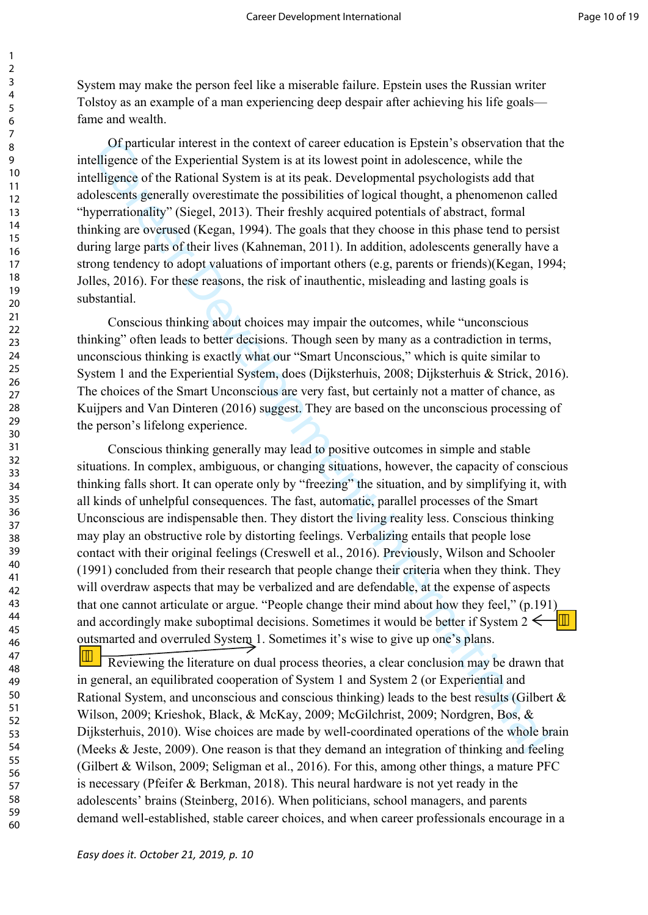System may make the person feel like a miserable failure. Epstein uses the Russian writer Tolstoy as an example of a man experiencing deep despair after achieving his life goals fame and wealth.

Of particular interest in the context of career education is Epstein's observation that the intelligence of the Experiential System is at its lowest point in adolescence, while the intelligence of the Rational System is at its peak. Developmental psychologists add that adolescents generally overestimate the possibilities of logical thought, a phenomenon called "hyperrationality" (Siegel, 2013). Their freshly acquired potentials of abstract, formal thinking are overused (Kegan, 1994). The goals that they choose in this phase tend to persist during large parts of their lives (Kahneman, 2011). In addition, adolescents generally have a strong tendency to adopt valuations of important others (e.g, parents or friends)(Kegan, 1994; Jolles, 2016). For these reasons, the risk of inauthentic, misleading and lasting goals is substantial.

Conscious thinking about choices may impair the outcomes, while "unconscious thinking" often leads to better decisions. Though seen by many as a contradiction in terms, unconscious thinking is exactly what our "Smart Unconscious," which is quite similar to System 1 and the Experiential System, does (Dijksterhuis, 2008; Dijksterhuis & Strick, 2016). The choices of the Smart Unconscious are very fast, but certainly not a matter of chance, as Kuijpers and Van Dinteren (2016) suggest. They are based on the unconscious processing of the person's lifelong experience.

Of particular interest in the contest of caser denotion is Foptien's observation that the elligence of the Experimential System is at its peak. Developmental psychologists and that if elligence of the Rational System is a Conscious thinking generally may lead to positive outcomes in simple and stable situations. In complex, ambiguous, or changing situations, however, the capacity of conscious thinking falls short. It can operate only by "freezing" the situation, and by simplifying it, with all kinds of unhelpful consequences. The fast, automatic, parallel processes of the Smart Unconscious are indispensable then. They distort the living reality less. Conscious thinking may play an obstructive role by distorting feelings. Verbalizing entails that people lose contact with their original feelings (Creswell et al., 2016). Previously, Wilson and Schooler (1991) concluded from their research that people change their criteria when they think. They will overdraw aspects that may be verbalized and are defendable, at the expense of aspects that one cannot articulate or argue. "People change their mind about how they feel," (p.191) and accordingly make suboptimal decisions. Sometimes it would be better if System 2 outsmarted and overruled System 1. Sometimes it's wise to give up one's plans.  $|\mathcal{F}|$ 

Reviewing the literature on dual process theories, a clear conclusion may be drawn that in general, an equilibrated cooperation of System 1 and System 2 (or Experiential and Rational System, and unconscious and conscious thinking) leads to the best results (Gilbert & Wilson, 2009; Krieshok, Black, & McKay, 2009; McGilchrist, 2009; Nordgren, Bos, & Dijksterhuis, 2010). Wise choices are made by well-coordinated operations of the whole brain (Meeks & Jeste, 2009). One reason is that they demand an integration of thinking and feeling (Gilbert & Wilson, 2009; Seligman et al., 2016). For this, among other things, a mature PFC is necessary (Pfeifer & Berkman, 2018). This neural hardware is not yet ready in the adolescents' brains (Steinberg, 2016). When politicians, school managers, and parents demand well-established, stable career choices, and when career professionals encourage in a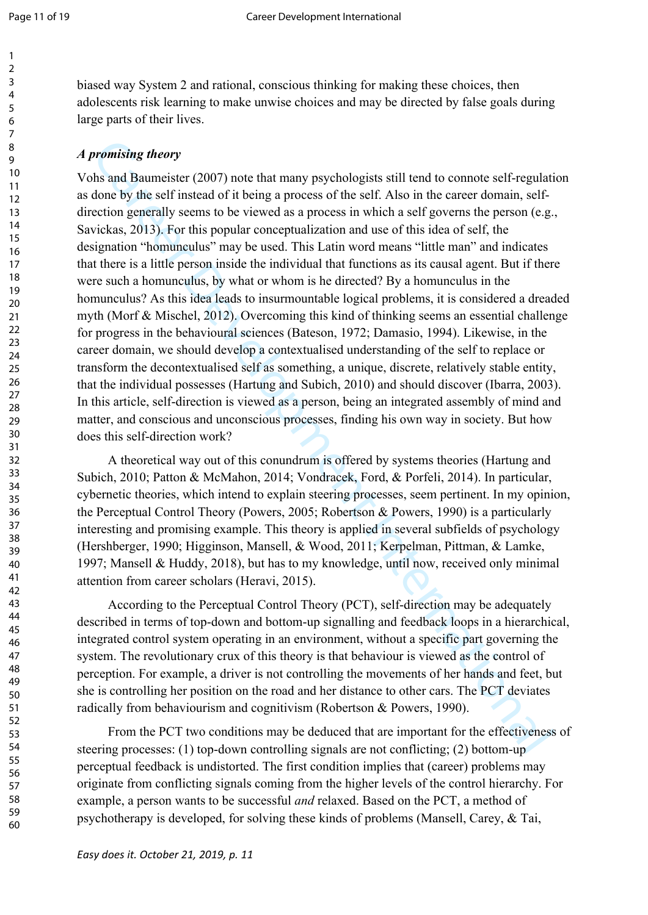biased way System 2 and rational, conscious thinking for making these choices, then adolescents risk learning to make unwise choices and may be directed by false goals during large parts of their lives.

# *A promising theory*

**promising theory**<br> **promising theory**<br>
this and Banneister (2007) note that many psychologists still tend to connote self-regulated<br>
colon by the self insteds of it brings a process of the self. Also in the carectr domain Vohs and Baumeister (2007) note that many psychologists still tend to connote self-regulation as done by the self instead of it being a process of the self. Also in the career domain, selfdirection generally seems to be viewed as a process in which a self governs the person (e.g., Savickas, 2013). For this popular conceptualization and use of this idea of self, the designation "homunculus" may be used. This Latin word means "little man" and indicates that there is a little person inside the individual that functions as its causal agent. But if there were such a homunculus, by what or whom is he directed? By a homunculus in the homunculus? As this idea leads to insurmountable logical problems, it is considered a dreaded myth (Morf & Mischel, 2012). Overcoming this kind of thinking seems an essential challenge for progress in the behavioural sciences (Bateson, 1972; Damasio, 1994). Likewise, in the career domain, we should develop a contextualised understanding of the self to replace or transform the decontextualised self as something, a unique, discrete, relatively stable entity, that the individual possesses (Hartung and Subich, 2010) and should discover (Ibarra, 2003). In this article, self-direction is viewed as a person, being an integrated assembly of mind and matter, and conscious and unconscious processes, finding his own way in society. But how does this self-direction work?

A theoretical way out of this conundrum is offered by systems theories (Hartung and Subich, 2010; Patton & McMahon, 2014; Vondracek, Ford, & Porfeli, 2014). In particular, cybernetic theories, which intend to explain steering processes, seem pertinent. In my opinion, the Perceptual Control Theory (Powers, 2005; Robertson & Powers, 1990) is a particularly interesting and promising example. This theory is applied in several subfields of psychology (Hershberger, 1990; Higginson, Mansell, & Wood, 2011; Kerpelman, Pittman, & Lamke, 1997; Mansell & Huddy, 2018), but has to my knowledge, until now, received only minimal attention from career scholars (Heravi, 2015).

According to the Perceptual Control Theory (PCT), self-direction may be adequately described in terms of top-down and bottom-up signalling and feedback loops in a hierarchical, integrated control system operating in an environment, without a specific part governing the system. The revolutionary crux of this theory is that behaviour is viewed as the control of perception. For example, a driver is not controlling the movements of her hands and feet, but she is controlling her position on the road and her distance to other cars. The PCT deviates radically from behaviourism and cognitivism (Robertson & Powers, 1990).

From the PCT two conditions may be deduced that are important for the effectiveness of steering processes: (1) top-down controlling signals are not conflicting; (2) bottom-up perceptual feedback is undistorted. The first condition implies that (career) problems may originate from conflicting signals coming from the higher levels of the control hierarchy. For example, a person wants to be successful *and* relaxed. Based on the PCT, a method of psychotherapy is developed, for solving these kinds of problems (Mansell, Carey, & Tai,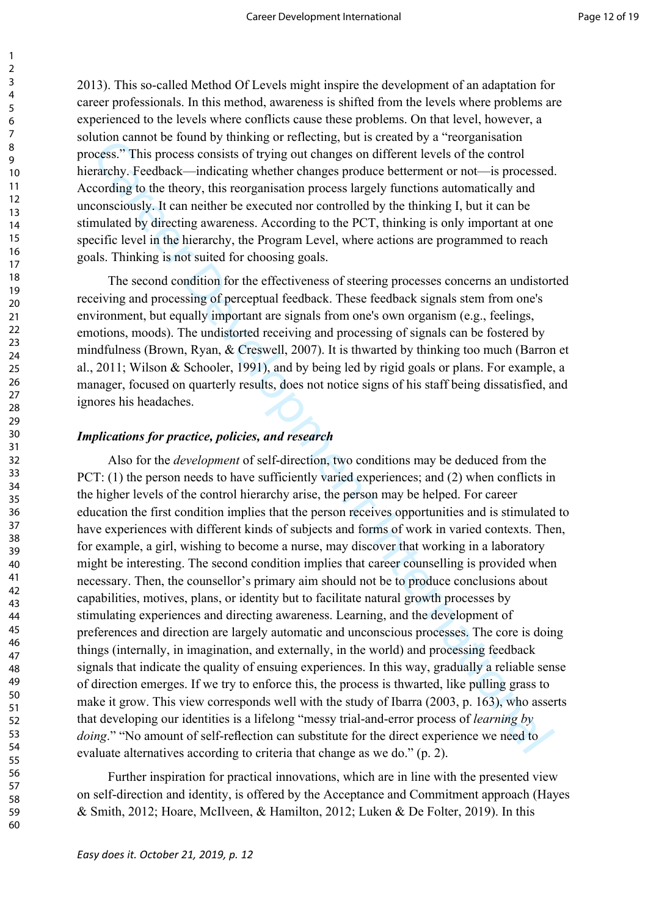2013). This so-called Method Of Levels might inspire the development of an adaptation for career professionals. In this method, awareness is shifted from the levels where problems are experienced to the levels where conflicts cause these problems. On that level, however, a solution cannot be found by thinking or reflecting, but is created by a "reorganisation process." This process consists of trying out changes on different levels of the control hierarchy. Feedback—indicating whether changes produce betterment or not—is processed. According to the theory, this reorganisation process largely functions automatically and unconsciously. It can neither be executed nor controlled by the thinking I, but it can be stimulated by directing awareness. According to the PCT, thinking is only important at one specific level in the hierarchy, the Program Level, where actions are programmed to reach goals. Thinking is not suited for choosing goals.

The second condition for the effectiveness of steering processes concerns an undistorted receiving and processing of perceptual feedback. These feedback signals stem from one's environment, but equally important are signals from one's own organism (e.g., feelings, emotions, moods). The undistorted receiving and processing of signals can be fostered by mindfulness (Brown, Ryan, & Creswell, 2007). It is thwarted by thinking too much (Barron et al., 2011; Wilson & Schooler, 1991), and by being led by rigid goals or plans. For example, a manager, focused on quarterly results, does not notice signs of his staff being dissatisfied, and ignores his headaches.

#### *Implications for practice, policies, and research*

more cannot be chosen by manneg or rencedue, and is cucated by a reduced by a reduced by a reduced by the chosen consists of typing on the hanges on different levels of the control<br>cockies". This process consists of trying Also for the *development* of self-direction, two conditions may be deduced from the PCT: (1) the person needs to have sufficiently varied experiences; and (2) when conflicts in the higher levels of the control hierarchy arise, the person may be helped. For career education the first condition implies that the person receives opportunities and is stimulated to have experiences with different kinds of subjects and forms of work in varied contexts. Then, for example, a girl, wishing to become a nurse, may discover that working in a laboratory might be interesting. The second condition implies that career counselling is provided when necessary. Then, the counsellor's primary aim should not be to produce conclusions about capabilities, motives, plans, or identity but to facilitate natural growth processes by stimulating experiences and directing awareness. Learning, and the development of preferences and direction are largely automatic and unconscious processes. The core is doing things (internally, in imagination, and externally, in the world) and processing feedback signals that indicate the quality of ensuing experiences. In this way, gradually a reliable sense of direction emerges. If we try to enforce this, the process is thwarted, like pulling grass to make it grow. This view corresponds well with the study of Ibarra (2003, p. 163), who asserts that developing our identities is a lifelong "messy trial-and-error process of *learning by doing.*" "No amount of self-reflection can substitute for the direct experience we need to evaluate alternatives according to criteria that change as we do." (p. 2).

Further inspiration for practical innovations, which are in line with the presented view on self-direction and identity, is offered by the Acceptance and Commitment approach (Hayes & Smith, 2012; Hoare, McIlveen, & Hamilton, 2012; Luken & De Folter, 2019). In this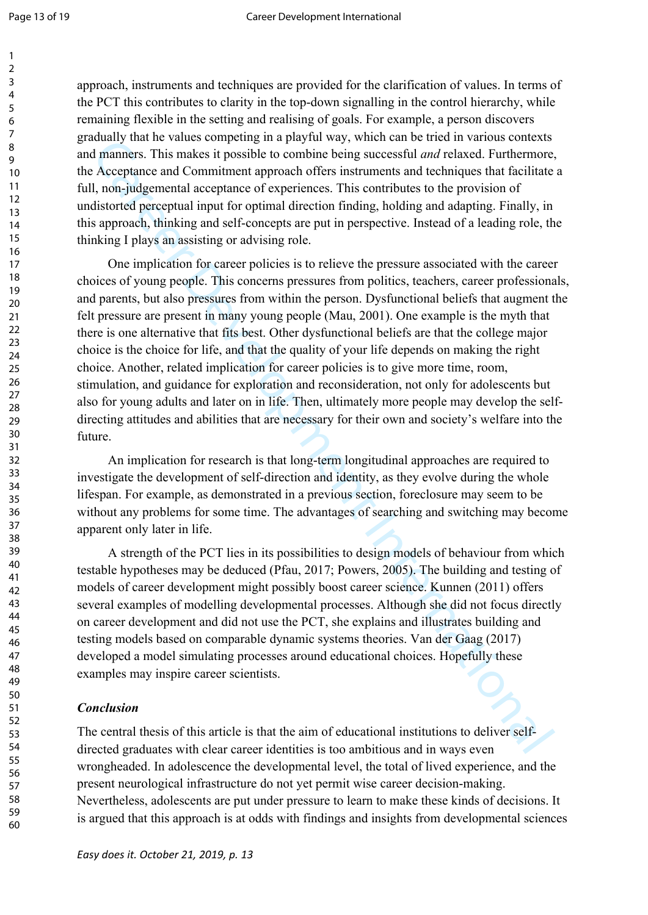approach, instruments and techniques are provided for the clarification of values. In terms of the PCT this contributes to clarity in the top-down signalling in the control hierarchy, while remaining flexible in the setting and realising of goals. For example, a person discovers gradually that he values competing in a playful way, which can be tried in various contexts and manners. This makes it possible to combine being successful *and* relaxed. Furthermore, the Acceptance and Commitment approach offers instruments and techniques that facilitate a full, non-judgemental acceptance of experiences. This contributes to the provision of undistorted perceptual input for optimal direction finding, holding and adapting. Finally, in this approach, thinking and self-concepts are put in perspective. Instead of a leading role, the thinking I plays an assisting or advising role.

than the waters competing in a paytial way, which can be the the tries in the case of Accelean paytime and Combine being successful *and* relaxed. Furthermore, Acceptanes and Comminster approach offers institutement approa One implication for career policies is to relieve the pressure associated with the career choices of young people. This concerns pressures from politics, teachers, career professionals, and parents, but also pressures from within the person. Dysfunctional beliefs that augment the felt pressure are present in many young people (Mau, 2001). One example is the myth that there is one alternative that fits best. Other dysfunctional beliefs are that the college major choice is the choice for life, and that the quality of your life depends on making the right choice. Another, related implication for career policies is to give more time, room, stimulation, and guidance for exploration and reconsideration, not only for adolescents but also for young adults and later on in life. Then, ultimately more people may develop the selfdirecting attitudes and abilities that are necessary for their own and society's welfare into the future.

An implication for research is that long-term longitudinal approaches are required to investigate the development of self-direction and identity, as they evolve during the whole lifespan. For example, as demonstrated in a previous section, foreclosure may seem to be without any problems for some time. The advantages of searching and switching may become apparent only later in life.

A strength of the PCT lies in its possibilities to design models of behaviour from which testable hypotheses may be deduced (Pfau, 2017; Powers, 2005). The building and testing of models of career development might possibly boost career science. Kunnen (2011) offers several examples of modelling developmental processes. Although she did not focus directly on career development and did not use the PCT, she explains and illustrates building and testing models based on comparable dynamic systems theories. Van der Gaag (2017) developed a model simulating processes around educational choices. Hopefully these examples may inspire career scientists.

## *Conclusion*

The central thesis of this article is that the aim of educational institutions to deliver selfdirected graduates with clear career identities is too ambitious and in ways even wrongheaded. In adolescence the developmental level, the total of lived experience, and the present neurological infrastructure do not yet permit wise career decision-making. Nevertheless, adolescents are put under pressure to learn to make these kinds of decisions. It is argued that this approach is at odds with findings and insights from developmental sciences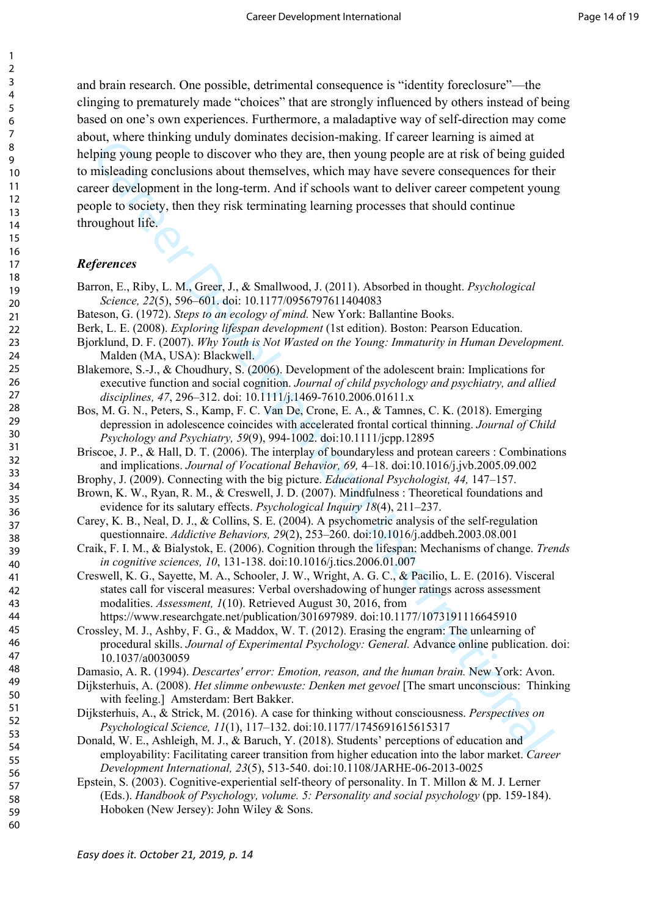Let, whice tunning undary dominates accessorial ranking in case to the streament in the brane and the streament in the long-term And if schools want to deliver career compenses of their guideness and the streament in the and brain research. One possible, detrimental consequence is "identity foreclosure"—the clinging to prematurely made "choices" that are strongly influenced by others instead of being based on one's own experiences. Furthermore, a maladaptive way of self-direction may come about, where thinking unduly dominates decision-making. If career learning is aimed at helping young people to discover who they are, then young people are at risk of being guided to misleading conclusions about themselves, which may have severe consequences for their career development in the long-term. And if schools want to deliver career competent young people to society, then they risk terminating learning processes that should continue throughout life.

## *References*

- Barron, E., Riby, L. M., Greer, J., & Smallwood, J. (2011). Absorbed in thought. *Psychological Science, 22*(5), 596–601. doi: 10.1177/0956797611404083
- Bateson, G. (1972). *Steps to an ecology of mind.* New York: Ballantine Books.
- Berk, L. E. (2008). *Exploring lifespan development* (1st edition). Boston: Pearson Education.
- Bjorklund, D. F. (2007). *Why Youth is Not Wasted on the Young: Immaturity in Human Development.*  Malden (MA, USA): Blackwell.
- Blakemore, S.-J., & Choudhury, S. (2006). Development of the adolescent brain: Implications for executive function and social cognition. *Journal of child psychology and psychiatry, and allied disciplines, 47*, 296–312. doi: 10.1111/j.1469-7610.2006.01611.x
- Bos, M. G. N., Peters, S., Kamp, F. C. Van De, Crone, E. A., & Tamnes, C. K. (2018). Emerging depression in adolescence coincides with accelerated frontal cortical thinning. *Journal of Child Psychology and Psychiatry, 59*(9), 994-1002. doi:10.1111/jcpp.12895
- Briscoe, J. P., & Hall, D. T. (2006). The interplay of boundaryless and protean careers : Combinations and implications. *Journal of Vocational Behavior, 69,* 4–18. doi:10.1016/j.jvb.2005.09.002
- Brophy, J. (2009). Connecting with the big picture. *Educational Psychologist, 44,* 147–157.
- Brown, K. W., Ryan, R. M., & Creswell, J. D. (2007). Mindfulness : Theoretical foundations and evidence for its salutary effects. *Psychological Inquiry 18*(4), 211–237.
- Carey, K. B., Neal, D. J., & Collins, S. E. (2004). A psychometric analysis of the self-regulation questionnaire. *Addictive Behaviors, 29*(2), 253–260. doi:10.1016/j.addbeh.2003.08.001
- Craik, F. I. M., & Bialystok, E. (2006). Cognition through the lifespan: Mechanisms of change. *Trends in cognitive sciences, 10*, 131-138. doi:10.1016/j.tics.2006.01.007
- Creswell, K. G., Sayette, M. A., Schooler, J. W., Wright, A. G. C., & Pacilio, L. E. (2016). Visceral states call for visceral measures: Verbal overshadowing of hunger ratings across assessment modalities. *Assessment, 1*(10). Retrieved August 30, 2016, from https://www.researchgate.net/publication/301697989. doi:10.1177/1073191116645910
- Crossley, M. J., Ashby, F. G., & Maddox, W. T. (2012). Erasing the engram: The unlearning of procedural skills. *Journal of Experimental Psychology: General.* Advance online publication. doi: 10.1037/a0030059
- Damasio, A. R. (1994). *Descartes' error: Emotion, reason, and the human brain.* New York: Avon.
- Dijksterhuis, A. (2008). *Het slimme onbewuste: Denken met gevoel* [The smart unconscious: Thinking with feeling.] Amsterdam: Bert Bakker.
- Dijksterhuis, A., & Strick, M. (2016). A case for thinking without consciousness. *Perspectives on Psychological Science, 11*(1), 117–132. doi:10.1177/1745691615615317
- Donald, W. E., Ashleigh, M. J., & Baruch, Y. (2018). Students' perceptions of education and employability: Facilitating career transition from higher education into the labor market. *Career Development International, 23*(5), 513-540. doi:10.1108/JARHE-06-2013-0025
- Epstein, S. (2003). Cognitive-experiential self-theory of personality. In T. Millon & M. J. Lerner (Eds.). *Handbook of Psychology, volume. 5: Personality and social psychology* (pp. 159-184). Hoboken (New Jersey): John Wiley & Sons.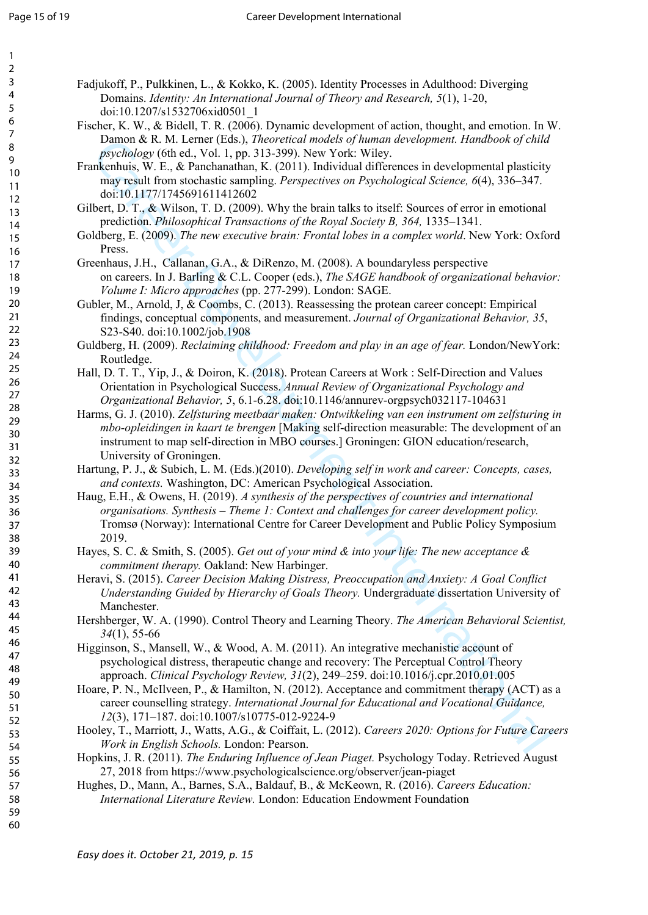| 2                            |
|------------------------------|
| z                            |
|                              |
| 4                            |
| 5                            |
| 6                            |
|                              |
|                              |
| 8                            |
| ¢<br>)                       |
|                              |
| 10                           |
| 1<br>1                       |
| $\mathbf{1}$<br>2            |
|                              |
| $\overline{1}$<br>3          |
| 1<br>4                       |
| 15                           |
|                              |
| 16                           |
| 17                           |
|                              |
| 18                           |
| 19                           |
| 20                           |
| $\overline{21}$              |
|                              |
| $\overline{2}$<br>,          |
| $\overline{2}$<br>3          |
| $\overline{24}$              |
|                              |
| 25                           |
| $\frac{26}{5}$               |
|                              |
| $^{27}$                      |
| $\frac{28}{3}$               |
| 29                           |
|                              |
| 30                           |
| $\overline{\textbf{3}}$      |
| $\overline{\mathbf{3}}$<br>, |
|                              |
| $\overline{\mathbf{3}}$<br>ξ |
| 3.<br>4                      |
| 35                           |
|                              |
| 36                           |
| 37                           |
| 38                           |
|                              |
| $\frac{1}{2}$                |
| 40                           |
| 41                           |
|                              |
| 42                           |
| $\overline{4}$<br>ξ          |
| 44                           |
|                              |
| 45                           |
| 46                           |
| 47                           |
|                              |
| 48                           |
| 49                           |
| 50                           |
|                              |
| 51                           |
| 5<br>$\overline{2}$          |
| 5:<br>3                      |
|                              |
| 54                           |
| 55                           |
| 56                           |
|                              |
| 57                           |
| 58                           |
| 59                           |
|                              |

60

Fadjukoff, P., Pulkkinen, L., & Kokko, K. (2005). Identity Processes in Adulthood: Diverging Domains. *Identity: An International Journal of Theory and Research, 5*(1), 1-20, doi:10.1207/s1532706xid0501\_1

- Fischer, K. W., & Bidell, T. R. (2006). Dynamic development of action, thought, and emotion. In W. Damon & R. M. Lerner (Eds.), *Theoretical models of human development. Handbook of child psychology* (6th ed., Vol. 1, pp. 313-399). New York: Wiley.
- Frankenhuis, W. E., & Panchanathan, K. (2011). Individual differences in developmental plasticity may result from stochastic sampling. *Perspectives on Psychological Science, 6*(4), 336–347. doi:10.1177/1745691611412602
- Gilbert, D. T., & Wilson, T. D. (2009). Why the brain talks to itself: Sources of error in emotional prediction. *Philosophical Transactions of the Royal Society B, 364,* 1335–1341.
- Goldberg, E. (2009). *The new executive brain: Frontal lobes in a complex world*. New York: Oxford Press.
- Greenhaus, J.H., Callanan, G.A., & DiRenzo, M. (2008). A boundaryless perspective on careers. In J. Barling & C.L. Cooper (eds.), *The SAGE handbook of organizational behavior: Volume I: Micro approaches* (pp. 277-299). London: SAGE.
- Gubler, M., Arnold, J, & Coombs, C. (2013). Reassessing the protean career concept: Empirical findings, conceptual components, and measurement. *Journal of Organizational Behavior, 35*, S23-S40. doi:10.1002/job.1908
- Guldberg, H. (2009). *Reclaiming childhood: Freedom and play in an age of fear.* London/NewYork: Routledge.
- Hall, D. T. T., Yip, J., & Doiron, K. (2018). Protean Careers at Work : Self-Direction and Values Orientation in Psychological Success. *Annual Review of Organizational Psychology and Organizational Behavior, 5*, 6.1-6.28. doi:10.1146/annurev-orgpsych032117-104631
- Danna R. M. Lenier Usels, J. Areweinian internation, and massive proparing the effect of the street particular proparing the N. R. P. R. P. R. P. Are Particular (N. 2011), buttividual differences in development in platici Harms, G. J. (2010). *Zelfsturing meetbaar maken: Ontwikkeling van een instrument om zelfsturing in mbo-opleidingen in kaart te brengen* [Making self-direction measurable: The development of an instrument to map self-direction in MBO courses.] Groningen: GION education/research, University of Groningen.
- Hartung, P. J., & Subich, L. M. (Eds.)(2010). *Developing self in work and career: Concepts, cases, and contexts.* Washington, DC: American Psychological Association.
- Haug, E.H., & Owens, H. (2019). *A synthesis of the perspectives of countries and international organisations. Synthesis – Theme 1: Context and challenges for career development policy.* Tromsø (Norway): International Centre for Career Development and Public Policy Symposium 2019.
- Hayes, S. C. & Smith, S. (2005). *Get out of your mind & into your life: The new acceptance & commitment therapy.* Oakland: New Harbinger.
- Heravi, S. (2015). *Career Decision Making Distress, Preoccupation and Anxiety: A Goal Conflict Understanding Guided by Hierarchy of Goals Theory.* Undergraduate dissertation University of Manchester.
- Hershberger, W. A. (1990). Control Theory and Learning Theory. *The American Behavioral Scientist, 34*(1), 55-66
- Higginson, S., Mansell, W., & Wood, A. M. (2011). An integrative mechanistic account of psychological distress, therapeutic change and recovery: The Perceptual Control Theory approach. *Clinical Psychology Review, 31*(2), 249–259. doi:10.1016/j.cpr.2010.01.005
- Hoare, P. N., McIlveen, P., & Hamilton, N. (2012). Acceptance and commitment therapy (ACT) as a career counselling strategy. *International Journal for Educational and Vocational Guidance, 12*(3), 171–187. doi:10.1007/s10775-012-9224-9
- Hooley, T., Marriott, J., Watts, A.G., & Coiffait, L. (2012). *Careers 2020: Options for Future Careers Work in English Schools.* London: Pearson.
- Hopkins, J. R. (2011). *The Enduring Influence of Jean Piaget.* Psychology Today. Retrieved August 27, 2018 from https://www.psychologicalscience.org/observer/jean-piaget
- Hughes, D., Mann, A., Barnes, S.A., Baldauf, B., & McKeown, R. (2016). *Careers Education: International Literature Review.* London: Education Endowment Foundation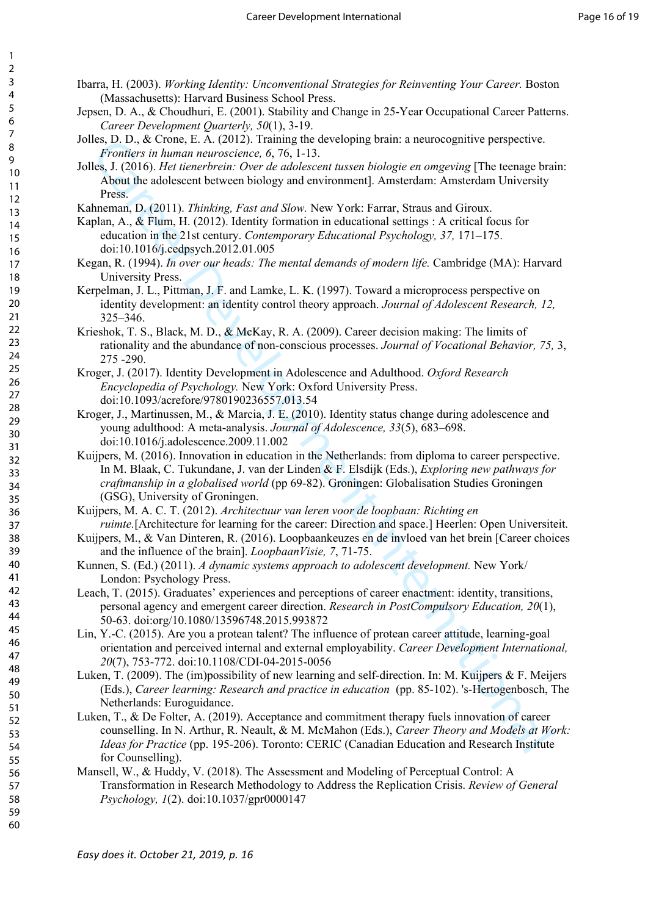- Ibarra, H. (2003). *Working Identity: Unconventional Strategies for Reinventing Your Career.* Boston (Massachusetts): Harvard Business School Press.
- Jepsen, D. A., & Choudhuri, E. (2001). Stability and Change in 25-Year Occupational Career Patterns. *Career Development Quarterly, 50*(1), 3-19.
- Jolles, D. D., & Crone, E. A. (2012). Training the developing brain: a neurocognitive perspective. *Frontiers in human neuroscience, 6*, 76, 1-13.
- Jolles, J. (2016). *Het tienerbrein: Over de adolescent tussen biologie en omgeving* [The teenage brain: About the adolescent between biology and environment]. Amsterdam: Amsterdam University Press.
- Kahneman, D. (2011). *Thinking, Fast and Slow.* New York: Farrar, Straus and Giroux.
- Kaplan, A., & Flum, H. (2012). Identity formation in educational settings : A critical focus for education in the 21st century. *Contemporary Educational Psychology, 37,* 171–175. doi:10.1016/j.cedpsych.2012.01.005
- Kegan, R. (1994). *In over our heads: The mental demands of modern life.* Cambridge (MA): Harvard University Press.
- Kerpelman, J. L., Pittman, J. F. and Lamke, L. K. (1997). Toward a microprocess perspective on identity development: an identity control theory approach. *Journal of Adolescent Research, 12,* 325–346.
- Krieshok, T. S., Black, M. D., & McKay, R. A. (2009). Career decision making: The limits of rationality and the abundance of non-conscious processes. *Journal of Vocational Behavior, 75,* 3, 275 -290.
- Kroger, J. (2017). Identity Development in Adolescence and Adulthood. *Oxford Research Encyclopedia of Psychology.* New York: Oxford University Press. doi:10.1093/acrefore/9780190236557.013.54
- Kroger, J., Martinussen, M., & Marcia, J. E. (2010). Identity status change during adolescence and young adulthood: A meta-analysis. *Journal of Adolescence, 33*(5), 683–698. doi:10.1016/j.adolescence.2009.11.002
- Es. D.D. & Clone, L.A. (2012). Training the developme prian. a neurocegnitive perspective.<br>
EFronches Me hands neurocenes of 76, 1-13.<br>
Fronches Me hands neurocenes of 76, 1-13.<br>
Fronches Me hands neurocenes of 76 and 200 Kuijpers, M. (2016). Innovation in education in the Netherlands: from diploma to career perspective. In M. Blaak, C. Tukundane, J. van der Linden & F. Elsdijk (Eds.), *Exploring new pathways for craftmanship in a globalised world* (pp 69-82). Groningen: Globalisation Studies Groningen (GSG), University of Groningen.
- Kuijpers, M. A. C. T. (2012). *Architectuur van leren voor de loopbaan: Richting en ruimte.*[Architecture for learning for the career: Direction and space.] Heerlen: Open Universiteit.
- Kuijpers, M., & Van Dinteren, R. (2016). Loopbaankeuzes en de invloed van het brein [Career choices and the influence of the brain]. *LoopbaanVisie, 7*, 71-75.
- Kunnen, S. (Ed.) (2011). *A dynamic systems approach to adolescent development.* New York/ London: Psychology Press.
- Leach, T. (2015). Graduates' experiences and perceptions of career enactment: identity, transitions, personal agency and emergent career direction. *Research in PostCompulsory Education, 20*(1), 50-63. doi:org/10.1080/13596748.2015.993872
- Lin, Y.-C. (2015). Are you a protean talent? The influence of protean career attitude, learning-goal orientation and perceived internal and external employability. *Career Development International, 20*(7), 753-772. doi:10.1108/CDI-04-2015-0056
- Luken, T. (2009). The (im)possibility of new learning and self-direction. In: M. Kuijpers & F. Meijers (Eds.), *Career learning: Research and practice in education* (pp. 85-102). 's-Hertogenbosch, The Netherlands: Euroguidance.
- Luken, T., & De Folter, A. (2019). Acceptance and commitment therapy fuels innovation of career counselling. In N. Arthur, R. Neault, & M. McMahon (Eds.), *Career Theory and Models at Work: Ideas for Practice* (pp. 195-206). Toronto: CERIC (Canadian Education and Research Institute for Counselling).
- Mansell, W., & Huddy, V. (2018). The Assessment and Modeling of Perceptual Control: A Transformation in Research Methodology to Address the Replication Crisis. *Review of General Psychology, 1*(2). doi:10.1037/gpr0000147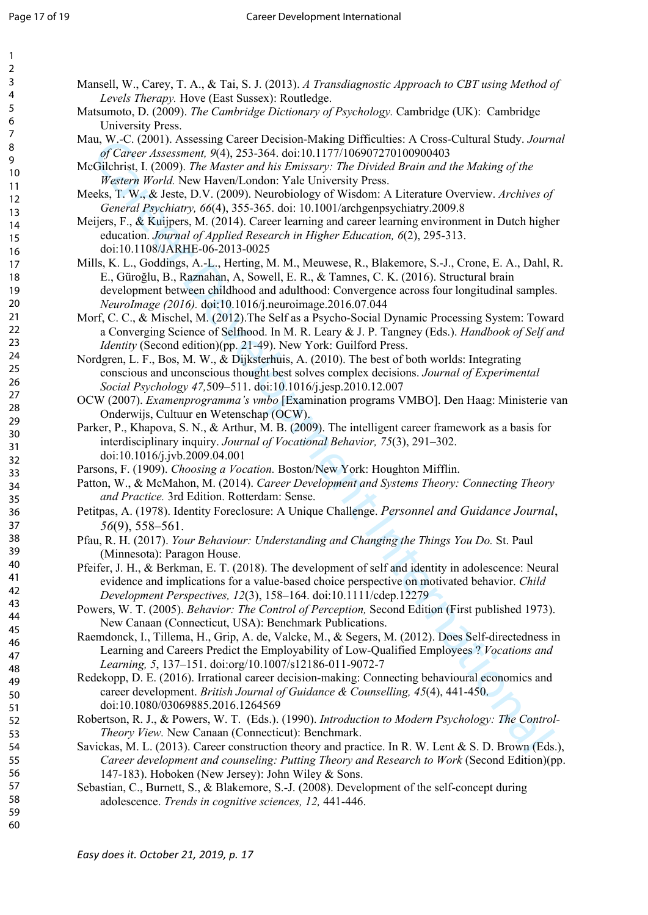| Mansell, W., Carey, T. A., & Tai, S. J. (2013). A Transdiagnostic Approach to CBT using Method of            |
|--------------------------------------------------------------------------------------------------------------|
| Levels Therapy. Hove (East Sussex): Routledge.                                                               |
| Matsumoto, D. (2009). The Cambridge Dictionary of Psychology. Cambridge (UK): Cambridge<br>University Press. |
| Mau, W.-C. (2001). Assessing Career Decision-Making Difficulties: A Cross-Cultural Study. Journal            |
| of Career Assessment, 9(4), 253-364. doi:10.1177/106907270100900403                                          |
| McGilchrist, I. (2009). The Master and his Emissary: The Divided Brain and the Making of the                 |
| Western World. New Haven/London: Yale University Press.                                                      |
| Meeks, T. W., & Jeste, D.V. (2009). Neurobiology of Wisdom: A Literature Overview. Archives of               |
| General Psychiatry, 66(4), 355-365. doi: 10.1001/archgenpsychiatry.2009.8                                    |
| Meijers, F., & Kuijpers, M. (2014). Career learning and career learning environment in Dutch higher          |
| education. Journal of Applied Research in Higher Education, 6(2), 295-313.                                   |
| doi:10.1108/JARHE-06-2013-0025                                                                               |
| Mills, K. L., Goddings, A.-L., Herting, M. M., Meuwese, R., Blakemore, S.-J., Crone, E. A., Dahl, R.         |
| E., Güroğlu, B., Raznahan, A, Sowell, E. R., & Tamnes, C. K. (2016). Structural brain                        |
| development between childhood and adulthood: Convergence across four longitudinal samples.                   |
| NeuroImage (2016). doi:10.1016/j.neuroimage.2016.07.044                                                      |
| Morf, C. C., & Mischel, M. (2012). The Self as a Psycho-Social Dynamic Processing System: Toward             |
| a Converging Science of Selfhood. In M. R. Leary & J. P. Tangney (Eds.). Handbook of Self and                |
| <i>Identity</i> (Second edition)(pp. 21-49). New York: Guilford Press.                                       |
| Nordgren, L. F., Bos, M. W., & Dijksterhuis, A. (2010). The best of both worlds: Integrating                 |
| conscious and unconscious thought best solves complex decisions. Journal of Experimental                     |
| Social Psychology 47,509-511. doi:10.1016/j.jesp.2010.12.007                                                 |
| OCW (2007). Examenprogramma's vmbo [Examination programs VMBO]. Den Haag: Ministerie van                     |
| Onderwijs, Cultuur en Wetenschap (OCW).                                                                      |
| Parker, P., Khapova, S. N., & Arthur, M. B. (2009). The intelligent career framework as a basis for          |
| interdisciplinary inquiry. Journal of Vocational Behavior, 75(3), 291-302.                                   |
| doi:10.1016/j.jvb.2009.04.001                                                                                |
| Parsons, F. (1909). Choosing a Vocation. Boston/New York: Houghton Mifflin.                                  |
| Patton, W., & McMahon, M. (2014). Career Development and Systems Theory: Connecting Theory                   |
| and Practice. 3rd Edition. Rotterdam: Sense.                                                                 |
| Petitpas, A. (1978). Identity Foreclosure: A Unique Challenge. Personnel and Guidance Journal,               |
| $56(9)$ , 558-561.                                                                                           |
| Pfau, R. H. (2017). Your Behaviour: Understanding and Changing the Things You Do. St. Paul                   |
| (Minnesota): Paragon House.                                                                                  |
| Pfeifer, J. H., & Berkman, E. T. (2018). The development of self and identity in adolescence: Neural         |
| evidence and implications for a value-based choice perspective on motivated behavior. Child                  |
| Development Perspectives, 12(3), 158-164. doi:10.1111/cdep.12279                                             |
| Powers, W. T. (2005). Behavior: The Control of Perception, Second Edition (First published 1973).            |
| New Canaan (Connecticut, USA): Benchmark Publications.                                                       |
| Raemdonck, I., Tillema, H., Grip, A. de, Valcke, M., & Segers, M. (2012). Does Self-directedness in          |
| Learning and Careers Predict the Employability of Low-Qualified Employees ? Vocations and                    |
| Learning, 5, 137-151. doi:org/10.1007/s12186-011-9072-7                                                      |
| Redekopp, D. E. (2016). Irrational career decision-making: Connecting behavioural economics and              |
| career development. British Journal of Guidance & Counselling, 45(4), 441-450.                               |
| doi:10.1080/03069885.2016.1264569                                                                            |
| Robertson, R. J., & Powers, W. T. (Eds.). (1990). Introduction to Modern Psychology: The Control-            |
| Theory View. New Canaan (Connecticut): Benchmark.                                                            |
| Savickas, M. L. (2013). Career construction theory and practice. In R. W. Lent & S. D. Brown (Eds.),         |
| Career development and counseling: Putting Theory and Research to Work (Second Edition)(pp.                  |
| 147-183). Hoboken (New Jersey): John Wiley & Sons.                                                           |

Sebastian, C., Burnett, S., & Blakemore, S.-J. (2008). Development of the self-concept during adolescence. *Trends in cognitive sciences, 12,* 441-446.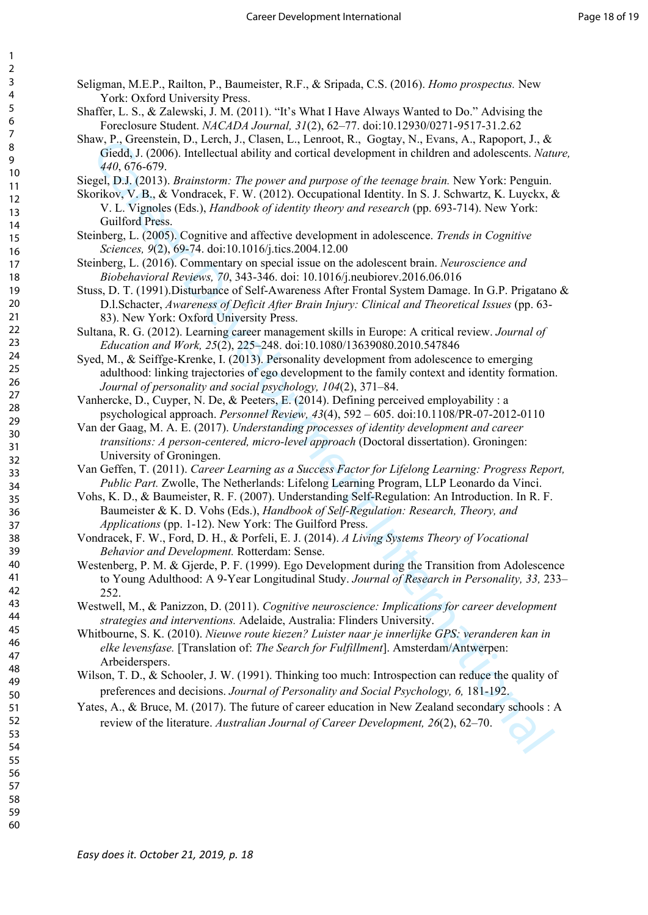- Seligman, M.E.P., Railton, P., Baumeister, R.F., & Sripada, C.S. (2016). *Homo prospectus.* New York: Oxford University Press.
- Shaffer, L. S., & Zalewski, J. M. (2011). "It's What I Have Always Wanted to Do." Advising the Foreclosure Student. *NACADA Journal, 31*(2), 62–77. doi:10.12930/0271-9517-31.2.62
- Shaw, P., Greenstein, D., Lerch, J., Clasen, L., Lenroot, R., Gogtay, N., Evans, A., Rapoport, J., & Giedd, J. (2006). Intellectual ability and cortical development in children and adolescents. *Nature, 440*, 676-679.
- Siegel, D.J. (2013). *Brainstorm: The power and purpose of the teenage brain.* New York: Penguin.
- Skorikov, V. B., & Vondracek, F. W. (2012). Occupational Identity. In S. J. Schwartz, K. Luyckx, & V. L. Vignoles (Eds.), *Handbook of identity theory and research* (pp. 693-714). New York: Guilford Press.
- Steinberg, L. (2005). Cognitive and affective development in adolescence. *Trends in Cognitive Sciences, 9*(2), 69-74. doi:10.1016/j.tics.2004.12.00
- Steinberg, L. (2016). Commentary on special issue on the adolescent brain. *Neuroscience and Biobehavioral Reviews, 70*, 343-346. doi: 10.1016/j.neubiorev.2016.06.016
- Stuss, D. T. (1991).Disturbance of Self-Awareness After Frontal System Damage. In G.P. Prigatano & D.l.Schacter, *Awareness of Deficit After Brain Injury: Clinical and Theoretical Issues* (pp. 63- 83). New York: Oxford University Press.
- Sultana, R. G. (2012). Learning career management skills in Europe: A critical review. *Journal of Education and Work, 25*(2), 225–248. doi:10.1080/13639080.2010.547846
- Syed, M., & Seiffge-Krenke, I. (2013). Personality development from adolescence to emerging adulthood: linking trajectories of ego development to the family context and identity formation. *Journal of personality and social psychology, 104*(2), 371–84.
- Vanhercke, D., Cuyper, N. De, & Peeters, E. (2014). Defining perceived employability : a psychological approach. *Personnel Review, 43*(4), 592 – 605. doi:10.1108/PR-07-2012-0110
- Van der Gaag, M. A. E. (2017). *Understanding processes of identity development and career transitions: A person-centered, micro-level approach* (Doctoral dissertation). Groningen: University of Groningen.
- Van Geffen, T. (2011). *Career Learning as a Success Factor for Lifelong Learning: Progress Report, Public Part.* Zwolle, The Netherlands: Lifelong Learning Program, LLP Leonardo da Vinci.
- Vohs, K. D., & Baumeister, R. F. (2007). Understanding Self-Regulation: An Introduction. In R. F. Baumeister & K. D. Vohs (Eds.), *Handbook of Self-Regulation: Research, Theory, and Applications* (pp. 1-12). New York: The Guilford Press.
- Vondracek, F. W., Ford, D. H., & Porfeli, E. J. (2014). *A Living Systems Theory of Vocational Behavior and Development.* Rotterdam: Sense.
- Career Development International Westenberg, P. M. & Gjerde, P. F. (1999). Ego Development during the Transition from Adolescence to Young Adulthood: A 9-Year Longitudinal Study. *Journal of Research in Personality, 33,* 233– 252.
- Westwell, M., & Panizzon, D. (2011). *Cognitive neuroscience: Implications for career development strategies and interventions.* Adelaide, Australia: Flinders University.
- Whitbourne, S. K. (2010). *Nieuwe route kiezen? Luister naar je innerlijke GPS: veranderen kan in elke levensfase.* [Translation of: *The Search for Fulfillment*]. Amsterdam/Antwerpen: Arbeiderspers.
- Wilson, T. D., & Schooler, J. W. (1991). Thinking too much: Introspection can reduce the quality of preferences and decisions. *Journal of Personality and Social Psychology, 6,* 181-192.
- Yates, A., & Bruce, M. (2017). The future of career education in New Zealand secondary schools : A review of the literature. *Australian Journal of Career Development, 26*(2), 62–70.